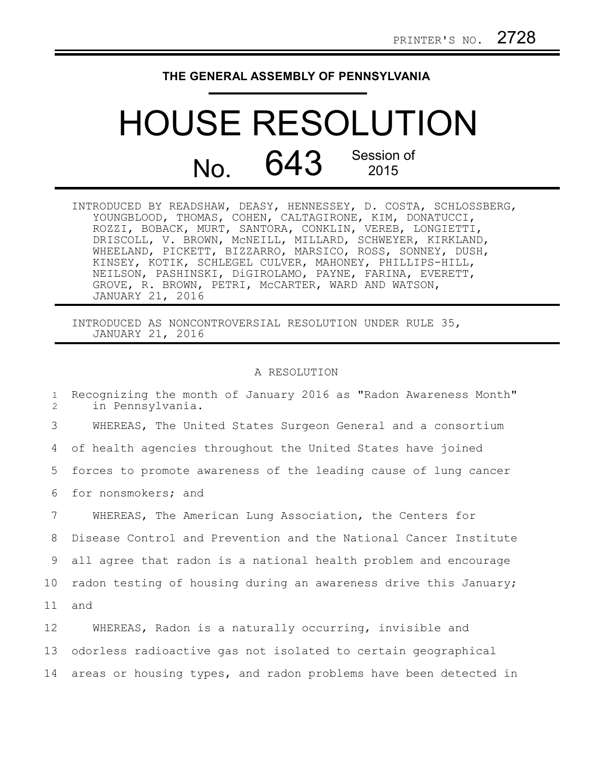## **THE GENERAL ASSEMBLY OF PENNSYLVANIA**

## HOUSE RESOLUTION No. 643 Session of 2015

| INTRODUCED BY READSHAW, DEASY, HENNESSEY, D. COSTA, SCHLOSSBERG, |
|------------------------------------------------------------------|
| YOUNGBLOOD, THOMAS, COHEN, CALTAGIRONE, KIM, DONATUCCI,          |
| ROZZI, BOBACK, MURT, SANTORA, CONKLIN, VEREB, LONGIETTI,         |
| DRISCOLL, V. BROWN, MCNEILL, MILLARD, SCHWEYER, KIRKLAND,        |
| WHEELAND, PICKETT, BIZZARRO, MARSICO, ROSS, SONNEY, DUSH,        |
| KINSEY, KOTIK, SCHLEGEL CULVER, MAHONEY, PHILLIPS-HILL,          |
| NEILSON, PASHINSKI, DiGIROLAMO, PAYNE, FARINA, EVERETT,          |
| GROVE, R. BROWN, PETRI, MCCARTER, WARD AND WATSON,               |
| JANUARY 21, 2016                                                 |

INTRODUCED AS NONCONTROVERSIAL RESOLUTION UNDER RULE 35, JANUARY 21, 2016

## A RESOLUTION

| $\mathbf{1}$<br>2 | Recognizing the month of January 2016 as "Radon Awareness Month"<br>in Pennsylvania. |
|-------------------|--------------------------------------------------------------------------------------|
| 3                 | WHEREAS, The United States Surgeon General and a consortium                          |
| 4                 | of health agencies throughout the United States have joined                          |
| 5                 | forces to promote awareness of the leading cause of lung cancer                      |
| 6                 | for nonsmokers; and                                                                  |
| 7                 | WHEREAS, The American Lung Association, the Centers for                              |
| 8                 | Disease Control and Prevention and the National Cancer Institute                     |
| 9                 | all agree that radon is a national health problem and encourage                      |
| 10                | radon testing of housing during an awareness drive this January;                     |
| 11                | and                                                                                  |
| 12                | WHEREAS, Radon is a naturally occurring, invisible and                               |
| 13                | odorless radioactive gas not isolated to certain geographical                        |
|                   |                                                                                      |

14 areas or housing types, and radon problems have been detected in